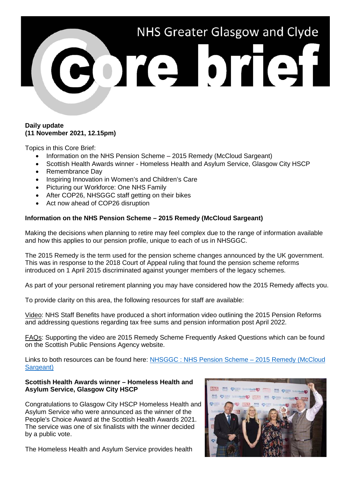

## **Daily update (11 November 2021, 12.15pm)**

Topics in this Core Brief:

- Information on the NHS Pension Scheme 2015 Remedy (McCloud Sargeant)
- Scottish Health Awards winner Homeless Health and Asylum Service, Glasgow City HSCP
- Remembrance Day
- Inspiring Innovation in Women's and Children's Care
- Picturing our Workforce: One NHS Family
- After COP26, NHSGGC staff getting on their bikes
- Act now ahead of COP26 disruption

#### **Information on the NHS Pension Scheme – 2015 Remedy (McCloud Sargeant)**

Making the decisions when planning to retire may feel complex due to the range of information available and how this applies to our pension profile, unique to each of us in NHSGGC.

The 2015 Remedy is the term used for the pension scheme changes announced by the UK government. This was in response to the 2018 Court of Appeal ruling that found the pension scheme reforms introduced on 1 April 2015 discriminated against younger members of the legacy schemes.

As part of your personal retirement planning you may have considered how the 2015 Remedy affects you.

To provide clarity on this area, the following resources for staff are available:

Video: NHS Staff Benefits have produced a short information video outlining the 2015 Pension Reforms and addressing questions regarding tax free sums and pension information post April 2022.

FAQs: Supporting the video are 2015 Remedy Scheme Frequently Asked Questions which can be found on the Scottish Public Pensions Agency website.

Links to both resources can be found here: [NHSGGC : NHS Pension Scheme –](https://www.nhsggc.org.uk/working-with-us/hr-connect/pay-conditions/nhs-pension-scheme-2015-remedy-mccloud-sargeant/) 2015 Remedy (McCloud [Sargeant\)](https://www.nhsggc.org.uk/working-with-us/hr-connect/pay-conditions/nhs-pension-scheme-2015-remedy-mccloud-sargeant/)

#### **Scottish Health Awards winner – Homeless Health and Asylum Service, Glasgow City HSCP**

Congratulations to Glasgow City HSCP Homeless Health and Asylum Service who were announced as the winner of the People's Choice Award at the Scottish Health Awards 2021. The service was one of six finalists with the winner decided by a public vote.

The Homeless Health and Asylum Service provides health

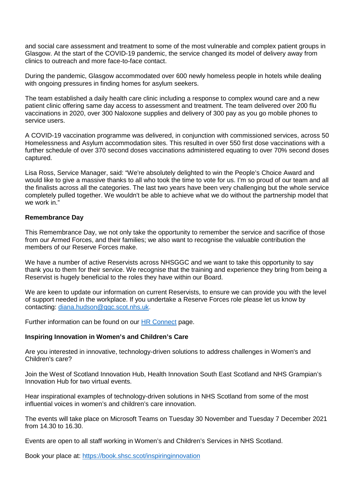and social care assessment and treatment to some of the most vulnerable and complex patient groups in Glasgow. At the start of the COVID-19 pandemic, the service changed its model of delivery away from clinics to outreach and more face-to-face contact.

During the pandemic, Glasgow accommodated over 600 newly homeless people in hotels while dealing with ongoing pressures in finding homes for asylum seekers.

The team established a daily health care clinic including a response to complex wound care and a new patient clinic offering same day access to assessment and treatment. The team delivered over 200 flu vaccinations in 2020, over 300 Naloxone supplies and delivery of 300 pay as you go mobile phones to service users.

A COVID-19 vaccination programme was delivered, in conjunction with commissioned services, across 50 Homelessness and Asylum accommodation sites. This resulted in over 550 first dose vaccinations with a further schedule of over 370 second doses vaccinations administered equating to over 70% second doses captured.

Lisa Ross, Service Manager, said: "We're absolutely delighted to win the People's Choice Award and would like to give a massive thanks to all who took the time to vote for us. I'm so proud of our team and all the finalists across all the categories. The last two years have been very challenging but the whole service completely pulled together. We wouldn't be able to achieve what we do without the partnership model that we work in."

## **Remembrance Day**

This Remembrance Day, we not only take the opportunity to remember the service and sacrifice of those from our Armed Forces, and their families; we also want to recognise the valuable contribution the members of our Reserve Forces make.

We have a number of active Reservists across NHSGGC and we want to take this opportunity to say thank you to them for their service. We recognise that the training and experience they bring from being a Reservist is hugely beneficial to the roles they have within our Board.

We are keen to update our information on current Reservists, to ensure we can provide you with the level of support needed in the workplace. If you undertake a Reserve Forces role please let us know by contacting: [diana.hudson@ggc.scot.nhs.uk.](mailto:diana.hudson@ggc.scot.nhs.uk)

Further information can be found on our [HR Connect](https://www.nhsggc.org.uk/working-with-us/hr-connect/policies-and-staff-governance/staff-governance/volunteer-and-regular-reservist-information/) page.

## **Inspiring Innovation in Women's and Children's Care**

Are you interested in innovative, technology-driven solutions to address challenges in Women's and Children's care?

Join the West of Scotland Innovation Hub, Health Innovation South East Scotland and NHS Grampian's Innovation Hub for two virtual events.

Hear inspirational examples of technology-driven solutions in NHS Scotland from some of the most influential voices in women's and children's care innovation.

The events will take place on Microsoft Teams on Tuesday 30 November and Tuesday 7 December 2021 from 14.30 to 16.30.

Events are open to all staff working in Women's and Children's Services in NHS Scotland.

Book your place at:<https://book.shsc.scot/inspiringinnovation>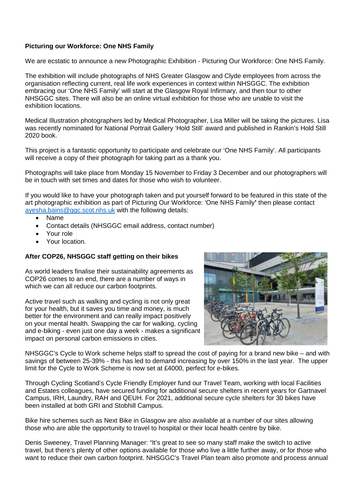# **Picturing our Workforce: One NHS Family**

We are ecstatic to announce a new Photographic Exhibition - Picturing Our Workforce: One NHS Family.

The exhibition will include photographs of NHS Greater Glasgow and Clyde employees from across the organisation reflecting current, real life work experiences in context within NHSGGC. The exhibition embracing our 'One NHS Family' will start at the Glasgow Royal Infirmary, and then tour to other NHSGGC sites. There will also be an online virtual exhibition for those who are unable to visit the exhibition locations.

Medical Illustration photographers led by Medical Photographer, Lisa Miller will be taking the pictures. Lisa was recently nominated for National Portrait Gallery 'Hold Still' award and published in Rankin's Hold Still 2020 book.

This project is a fantastic opportunity to participate and celebrate our 'One NHS Family'. All participants will receive a copy of their photograph for taking part as a thank you.

Photographs will take place from Monday 15 November to Friday 3 December and our photographers will be in touch with set times and dates for those who wish to volunteer.

If you would like to have your photograph taken and put yourself forward to be featured in this state of the art photographic exhibition as part of Picturing Our Workforce: 'One NHS Family**'** then please contact [ayesha.bains@ggc.scot.nhs.uk](mailto:ayesha.bains@ggc.scot.nhs.uk) with the following details:

- Name
- Contact details (NHSGGC email address, contact number)
- Your role
- Your location.

## **After COP26, NHSGGC staff getting on their bikes**

As world leaders finalise their sustainability agreements as COP26 comes to an end, there are a number of ways in which we can all reduce our carbon footprints.

Active travel such as walking and cycling is not only great for your health, but it saves you time and money, is much better for the environment and can really impact positively on your mental health. Swapping the car for walking, cycling and e-biking - even just one day a week - makes a significant impact on personal carbon emissions in cities.



NHSGGC's Cycle to Work scheme helps staff to spread the cost of paying for a brand new bike – and with savings of between 25-39% - this has led to demand increasing by over 150% in the last year. The upper limit for the Cycle to Work Scheme is now set at £4000, perfect for e-bikes.

Through Cycling Scotland's Cycle Friendly Employer fund our Travel Team, working with local Facilities and Estates colleagues, have secured funding for additional secure shelters in recent years for Gartnavel Campus, IRH, Laundry, RAH and QEUH. For 2021, additional secure cycle shelters for 30 bikes have been installed at both GRI and Stobhill Campus.

Bike hire schemes such as Next Bike in Glasgow are also available at a number of our sites allowing those who are able the opportunity to travel to hospital or their local health centre by bike.

Denis Sweeney, Travel Planning Manager: "It's great to see so many staff make the switch to active travel, but there's plenty of other options available for those who live a little further away, or for those who want to reduce their own carbon footprint. NHSGGC's Travel Plan team also promote and process annual